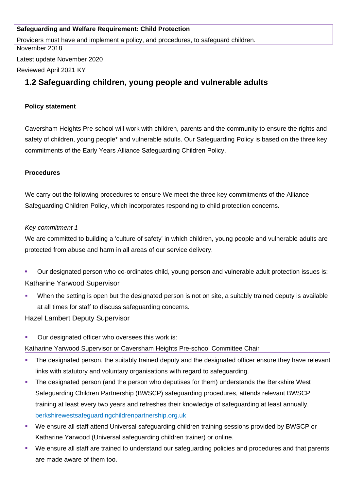### **Safeguarding and Welfare Requirement: Child Protection**

Providers must have and implement a policy, and procedures, to safeguard children.

November 2018

Latest update November 2020

Reviewed April 2021 KY

# **1.2 Safeguarding children, young people and vulnerable adults**

### **Policy statement**

Caversham Heights Pre-school will work with children, parents and the community to ensure the rights and safety of children, young people\* and vulnerable adults. Our Safeguarding Policy is based on the three key commitments of the Early Years Alliance Safeguarding Children Policy.

### **Procedures**

We carry out the following procedures to ensure We meet the three key commitments of the Alliance Safeguarding Children Policy, which incorporates responding to child protection concerns.

### *Key commitment 1*

We are committed to building a 'culture of safety' in which children, young people and vulnerable adults are protected from abuse and harm in all areas of our service delivery.

- Our designated person who co-ordinates child, young person and vulnerable adult protection issues is: Katharine Yarwood Supervisor
- When the setting is open but the designated person is not on site, a suitably trained deputy is available at all times for staff to discuss safeguarding concerns.

Hazel Lambert Deputy Supervisor

**• Our designated officer who oversees this work is:** 

Katharine Yarwood Supervisor or Caversham Heights Pre-school Committee Chair

- **The designated person, the suitably trained deputy and the designated officer ensure they have relevant** links with statutory and voluntary organisations with regard to safeguarding.
- **The designated person (and the person who deputises for them) understands the Berkshire West** Safeguarding Children Partnership (BWSCP) safeguarding procedures, attends relevant BWSCP training at least every two years and refreshes their knowledge of safeguarding at least annually. berkshirewestsafeguardingchildrenpartnership.org.uk
- We ensure all staff attend Universal safeguarding children training sessions provided by BWSCP or Katharine Yarwood (Universal safeguarding children trainer) or online.
- We ensure all staff are trained to understand our safeguarding policies and procedures and that parents are made aware of them too.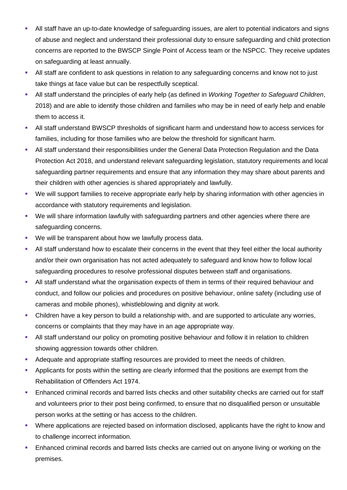- All staff have an up-to-date knowledge of safeguarding issues, are alert to potential indicators and signs of abuse and neglect and understand their professional duty to ensure safeguarding and child protection concerns are reported to the BWSCP Single Point of Access team or the NSPCC. They receive updates on safeguarding at least annually.
- All staff are confident to ask questions in relation to any safeguarding concerns and know not to just take things at face value but can be respectfully sceptical.
- All staff understand the principles of early help (as defined in *Working Together to Safeguard Children*, 2018) and are able to identify those children and families who may be in need of early help and enable them to access it.
- All staff understand BWSCP thresholds of significant harm and understand how to access services for families, including for those families who are below the threshold for significant harm.
- All staff understand their responsibilities under the General Data Protection Regulation and the Data Protection Act 2018, and understand relevant safeguarding legislation, statutory requirements and local safeguarding partner requirements and ensure that any information they may share about parents and their children with other agencies is shared appropriately and lawfully.
- We will support families to receive appropriate early help by sharing information with other agencies in accordance with statutory requirements and legislation.
- We will share information lawfully with safeguarding partners and other agencies where there are safeguarding concerns.
- We will be transparent about how we lawfully process data.
- All staff understand how to escalate their concerns in the event that they feel either the local authority and/or their own organisation has not acted adequately to safeguard and know how to follow local safeguarding procedures to resolve professional disputes between staff and organisations.
- All staff understand what the organisation expects of them in terms of their required behaviour and conduct, and follow our policies and procedures on positive behaviour, online safety (including use of cameras and mobile phones), whistleblowing and dignity at work.
- Children have a key person to build a relationship with, and are supported to articulate any worries, concerns or complaints that they may have in an age appropriate way.
- All staff understand our policy on promoting positive behaviour and follow it in relation to children showing aggression towards other children.
- Adequate and appropriate staffing resources are provided to meet the needs of children.
- **Applicants for posts within the setting are clearly informed that the positions are exempt from the** Rehabilitation of Offenders Act 1974.
- **Enhanced criminal records and barred lists checks and other suitability checks are carried out for staff** and volunteers prior to their post being confirmed, to ensure that no disqualified person or unsuitable person works at the setting or has access to the children.
- Where applications are rejected based on information disclosed, applicants have the right to know and to challenge incorrect information.
- **Enhanced criminal records and barred lists checks are carried out on anyone living or working on the** premises.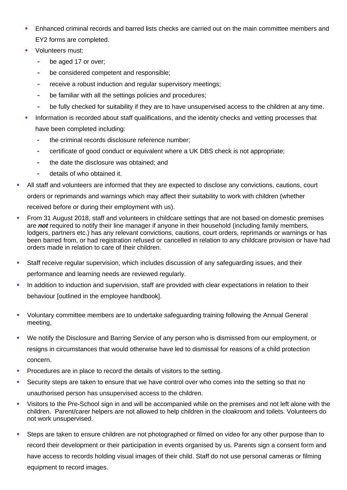- **Enhanced criminal records and barred lists checks are carried out on the main committee members and** EY2 forms are completed.
- **volunteers must:** 
	- **-** be aged 17 or over;
	- **-** be considered competent and responsible;
	- **-** receive a robust induction and regular supervisory meetings;
	- **-** be familiar with all the settings policies and procedures;
	- **-** be fully checked for suitability if they are to have unsupervised access to the children at any time.
- Information is recorded about staff qualifications, and the identity checks and vetting processes that have been completed including:
	- **-** the criminal records disclosure reference number;
	- **-** certificate of good conduct or equivalent where a UK DBS check is not appropriate;
	- **-** the date the disclosure was obtained; and
	- **-** details of who obtained it.
- All staff and volunteers are informed that they are expected to disclose any convictions, cautions, court orders or reprimands and warnings which may affect their suitability to work with children (whether received before or during their employment with us).
- From 31 August 2018, staff and volunteers in childcare settings that are not based on domestic premises are *not* required to notify their line manager if anyone in their household (including family members, lodgers, partners etc.) has any relevant convictions, cautions, court orders, reprimands or warnings or has been barred from, or had registration refused or cancelled in relation to any childcare provision or have had orders made in relation to care of their children.
- Staff receive regular supervision, which includes discussion of any safeguarding issues, and their performance and learning needs are reviewed regularly.
- In addition to induction and supervision, staff are provided with clear expectations in relation to their behaviour [outlined in the employee handbook].
- Voluntary committee members are to undertake safeguarding training following the Annual General meeting,
- We notify the Disclosure and Barring Service of any person who is dismissed from our employment, or resigns in circumstances that would otherwise have led to dismissal for reasons of a child protection concern.
- Procedures are in place to record the details of visitors to the setting.
- Security steps are taken to ensure that we have control over who comes into the setting so that no unauthorised person has unsupervised access to the children.
- Visitors to the Pre-School sign in and will be accompanied while on the premises and not left alone with the children. Parent/carer helpers are not allowed to help children in the cloakroom and toilets. Volunteers do not work unsupervised.
- Steps are taken to ensure children are not photographed or filmed on video for any other purpose than to record their development or their participation in events organised by us. Parents sign a consent form and have access to records holding visual images of their child. Staff do not use personal cameras or filming equipment to record images.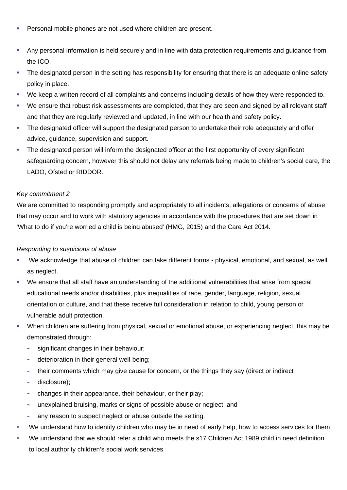- Personal mobile phones are not used where children are present.
- Any personal information is held securely and in line with data protection requirements and guidance from the ICO.
- The designated person in the setting has responsibility for ensuring that there is an adequate online safety policy in place.
- We keep a written record of all complaints and concerns including details of how they were responded to.
- We ensure that robust risk assessments are completed, that they are seen and signed by all relevant staff and that they are regularly reviewed and updated, in line with our health and safety policy.
- The designated officer will support the designated person to undertake their role adequately and offer advice, guidance, supervision and support.
- The designated person will inform the designated officer at the first opportunity of every significant safeguarding concern, however this should not delay any referrals being made to children's social care, the LADO, Ofsted or RIDDOR.

### *Key commitment 2*

We are committed to responding promptly and appropriately to all incidents, allegations or concerns of abuse that may occur and to work with statutory agencies in accordance with the procedures that are set down in 'What to do if you're worried a child is being abused' (HMG, 2015) and the Care Act 2014.

### *Responding to suspicions of abuse*

- We acknowledge that abuse of children can take different forms physical, emotional, and sexual, as well as neglect.
- We ensure that all staff have an understanding of the additional vulnerabilities that arise from special educational needs and/or disabilities, plus inequalities of race, gender, language, religion, sexual orientation or culture, and that these receive full consideration in relation to child, young person or vulnerable adult protection.
- When children are suffering from physical, sexual or emotional abuse, or experiencing neglect, this may be demonstrated through:
	- **-** significant changes in their behaviour;
	- **-** deterioration in their general well-being;
	- **-** their comments which may give cause for concern, or the things they say (direct or indirect
	- **-** disclosure);
	- **-** changes in their appearance, their behaviour, or their play;
	- **-** unexplained bruising, marks or signs of possible abuse or neglect; and
	- **-** any reason to suspect neglect or abuse outside the setting.
- We understand how to identify children who may be in need of early help, how to access services for them
- We understand that we should refer a child who meets the s17 Children Act 1989 child in need definition to local authority children's social work services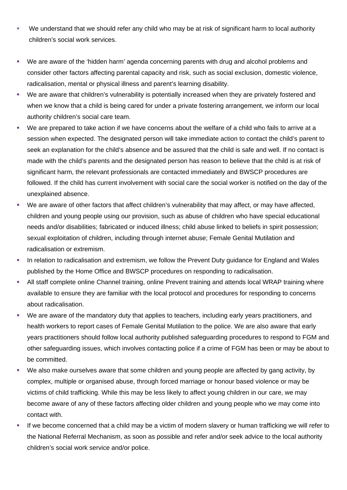- We understand that we should refer any child who may be at risk of significant harm to local authority children's social work services.
- We are aware of the 'hidden harm' agenda concerning parents with drug and alcohol problems and consider other factors affecting parental capacity and risk, such as social exclusion, domestic violence, radicalisation, mental or physical illness and parent's learning disability.
- We are aware that children's vulnerability is potentially increased when they are privately fostered and when we know that a child is being cared for under a private fostering arrangement, we inform our local authority children's social care team.
- We are prepared to take action if we have concerns about the welfare of a child who fails to arrive at a session when expected. The designated person will take immediate action to contact the child's parent to seek an explanation for the child's absence and be assured that the child is safe and well. If no contact is made with the child's parents and the designated person has reason to believe that the child is at risk of significant harm, the relevant professionals are contacted immediately and BWSCP procedures are followed. If the child has current involvement with social care the social worker is notified on the day of the unexplained absence.
- We are aware of other factors that affect children's vulnerability that may affect, or may have affected, children and young people using our provision, such as abuse of children who have special educational needs and/or disabilities; fabricated or induced illness; child abuse linked to beliefs in spirit possession; sexual exploitation of children, including through internet abuse; Female Genital Mutilation and radicalisation or extremism.
- In relation to radicalisation and extremism, we follow the Prevent Duty guidance for England and Wales published by the Home Office and BWSCP procedures on responding to radicalisation.
- All staff complete online Channel training, online Prevent training and attends local WRAP training where available to ensure they are familiar with the local protocol and procedures for responding to concerns about radicalisation.
- We are aware of the mandatory duty that applies to teachers, including early years practitioners, and health workers to report cases of Female Genital Mutilation to the police. We are also aware that early years practitioners should follow local authority published safeguarding procedures to respond to FGM and other safeguarding issues, which involves contacting police if a crime of FGM has been or may be about to be committed.
- We also make ourselves aware that some children and young people are affected by gang activity, by complex, multiple or organised abuse, through forced marriage or honour based violence or may be victims of child trafficking. While this may be less likely to affect young children in our care, we may become aware of any of these factors affecting older children and young people who we may come into contact with.
- If we become concerned that a child may be a victim of modern slavery or human trafficking we will refer to the National Referral Mechanism, as soon as possible and refer and/or seek advice to the local authority children's social work service and/or police.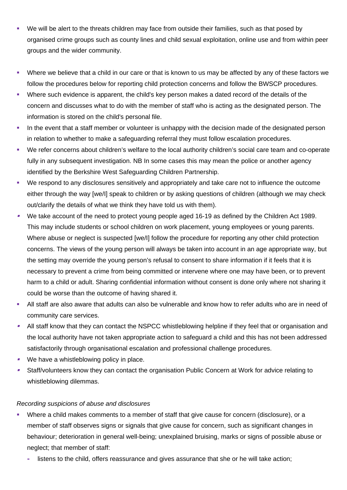- We will be alert to the threats children may face from outside their families, such as that posed by organised crime groups such as county lines and child sexual exploitation, online use and from within peer groups and the wider community.
- Where we believe that a child in our care or that is known to us may be affected by any of these factors we follow the procedures below for reporting child protection concerns and follow the BWSCP procedures.
- Where such evidence is apparent, the child's key person makes a dated record of the details of the concern and discusses what to do with the member of staff who is acting as the designated person. The information is stored on the child's personal file.
- In the event that a staff member or volunteer is unhappy with the decision made of the designated person in relation to whether to make a safeguarding referral they must follow escalation procedures.
- We refer concerns about children's welfare to the local authority children's social care team and co-operate fully in any subsequent investigation. NB In some cases this may mean the police or another agency identified by the Berkshire West Safeguarding Children Partnership.
- We respond to any disclosures sensitively and appropriately and take care not to influence the outcome either through the way [we/I] speak to children or by asking questions of children (although we may check out/clarify the details of what we think they have told us with them).
- We take account of the need to protect young people aged 16-19 as defined by the Children Act 1989. This may include students or school children on work placement, young employees or young parents. Where abuse or neglect is suspected [we/I] follow the procedure for reporting any other child protection concerns. The views of the young person will always be taken into account in an age appropriate way, but the setting may override the young person's refusal to consent to share information if it feels that it is necessary to prevent a crime from being committed or intervene where one may have been, or to prevent harm to a child or adult. Sharing confidential information without consent is done only where not sharing it could be worse than the outcome of having shared it.
- All staff are also aware that adults can also be vulnerable and know how to refer adults who are in need of community care services.
- $\blacksquare$  All staff know that they can contact the NSPCC whistleblowing helpline if they feel that or organisation and the local authority have not taken appropriate action to safeguard a child and this has not been addressed satisfactorily through organisational escalation and professional challenge procedures.
- $\blacksquare$ We have a whistleblowing policy in place.
- $\blacksquare$  Staff/volunteers know they can contact the organisation Public Concern at Work for advice relating to whistleblowing dilemmas.

### *Recording suspicions of abuse and disclosures*

- Where a child makes comments to a member of staff that give cause for concern (disclosure), or a member of staff observes signs or signals that give cause for concern, such as significant changes in behaviour; deterioration in general well-being; unexplained bruising, marks or signs of possible abuse or neglect; that member of staff:
	- **-** listens to the child, offers reassurance and gives assurance that she or he will take action;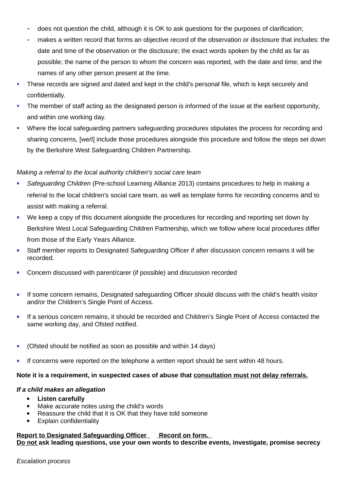- **-** does not question the child, although it is OK to ask questions for the purposes of clarification;
- **-** makes a written record that forms an objective record of the observation or disclosure that includes: the date and time of the observation or the disclosure; the exact words spoken by the child as far as possible; the name of the person to whom the concern was reported, with the date and time; and the names of any other person present at the time.
- These records are signed and dated and kept in the child's personal file, which is kept securely and confidentially.
- The member of staff acting as the designated person is informed of the issue at the earliest opportunity, and within one working day.
- Where the local safeguarding partners safeguarding procedures stipulates the process for recording and sharing concerns, [we/I] include those procedures alongside this procedure and follow the steps set down by the Berkshire West Safeguarding Children Partnership.

#### *Making a referral to the local authority children's social care team*

- *Safeguarding Children* (Pre-school Learning Alliance 2013) contains procedures to help in making a referral to the local children's social care team, as well as template forms for recording concerns and to assist with making a referral.
- We keep a copy of this document alongside the procedures for recording and reporting set down by Berkshire West Local Safeguarding Children Partnership, which we follow where local procedures differ from those of the Early Years Alliance.
- Staff member reports to Designated Safeguarding Officer if after discussion concern remains it will be recorded.
- Concern discussed with parent/carer (if possible) and discussion recorded
- **If some concern remains, Designated safeguarding Officer should discuss with the child's health visitor** and/or the Children's Single Point of Access.
- If a serious concern remains, it should be recorded and Children's Single Point of Access contacted the same working day, and Ofsted notified.
- (Ofsted should be notified as soon as possible and within 14 days)
- If concerns were reported on the telephone a written report should be sent within 48 hours.

#### **Note it is a requirement, in suspected cases of abuse that consultation must not delay referrals.**

#### *If a child makes an allegation*

- **Listen carefully**
- Make accurate notes using the child's words
- Reassure the child that it is OK that they have told someone
- Explain confidentiality

#### **Report to Designated Safeguarding Officer Record on form. Do not ask leading questions, use your own words to describe events, investigate, promise secrecy**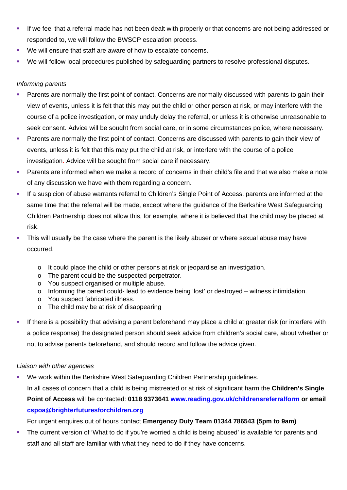- If we feel that a referral made has not been dealt with properly or that concerns are not being addressed or responded to, we will follow the BWSCP escalation process.
- We will ensure that staff are aware of how to escalate concerns.
- We will follow local procedures published by safeguarding partners to resolve professional disputes.

#### *Informing parents*

- Parents are normally the first point of contact. Concerns are normally discussed with parents to gain their view of events, unless it is felt that this may put the child or other person at risk, or may interfere with the course of a police investigation, or may unduly delay the referral, or unless it is otherwise unreasonable to seek consent. Advice will be sought from social care, or in some circumstances police, where necessary.
- Parents are normally the first point of contact. Concerns are discussed with parents to gain their view of events, unless it is felt that this may put the child at risk, or interfere with the course of a police investigation. Advice will be sought from social care if necessary.
- Parents are informed when we make a record of concerns in their child's file and that we also make a note of any discussion we have with them regarding a concern.
- If a suspicion of abuse warrants referral to Children's Single Point of Access, parents are informed at the same time that the referral will be made, except where the guidance of the Berkshire West Safeguarding Children Partnership does not allow this, for example, where it is believed that the child may be placed at risk.
- This will usually be the case where the parent is the likely abuser or where sexual abuse may have occurred.
	- o It could place the child or other persons at risk or jeopardise an investigation.
	- o The parent could be the suspected perpetrator.
	- o You suspect organised or multiple abuse.
	- o Informing the parent could- lead to evidence being 'lost' or destroyed witness intimidation.
	- o You suspect fabricated illness.
	- o The child may be at risk of disappearing
- If there is a possibility that advising a parent beforehand may place a child at greater risk (or interfere with a police response) the designated person should seek advice from children's social care, about whether or not to advise parents beforehand, and should record and follow the advice given.

### *Liaison with other agencies*

 We work within the Berkshire West Safeguarding Children Partnership guidelines. In all cases of concern that a child is being mistreated or at risk of significant harm the **Children's Single Point of Access** will be contacted: **0118 9373641 [www.reading.gov.uk/childrensreferralform](http://www.reading.gov.uk/childrensreferralform) or email [cspoa@brighterfuturesforchildren.org](mailto:cspoa@brighterfuturesforchildren.org)** 

For urgent enquires out of hours contact **Emergency Duty Team 01344 786543 (5pm to 9am)**

 The current version of 'What to do if you're worried a child is being abused' is available for parents and staff and all staff are familiar with what they need to do if they have concerns.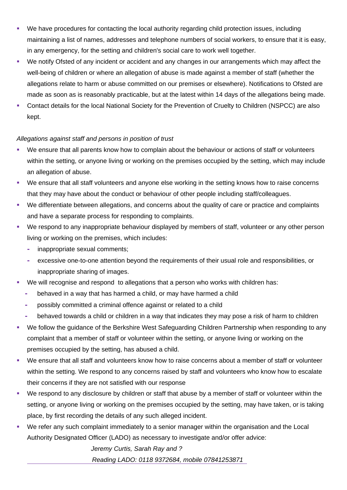- We have procedures for contacting the local authority regarding child protection issues, including maintaining a list of names, addresses and telephone numbers of social workers, to ensure that it is easy, in any emergency, for the setting and children's social care to work well together.
- We notify Ofsted of any incident or accident and any changes in our arrangements which may affect the well-being of children or where an allegation of abuse is made against a member of staff (whether the allegations relate to harm or abuse committed on our premises or elsewhere). Notifications to Ofsted are made as soon as is reasonably practicable, but at the latest within 14 days of the allegations being made.
- Contact details for the local National Society for the Prevention of Cruelty to Children (NSPCC) are also kept.

### *Allegations against staff and persons in position of trust*

- We ensure that all parents know how to complain about the behaviour or actions of staff or volunteers within the setting, or anyone living or working on the premises occupied by the setting, which may include an allegation of abuse.
- We ensure that all staff volunteers and anyone else working in the setting knows how to raise concerns that they may have about the conduct or behaviour of other people including staff/colleagues.
- We differentiate between allegations, and concerns about the quality of care or practice and complaints and have a separate process for responding to complaints.
- We respond to any inappropriate behaviour displayed by members of staff, volunteer or any other person living or working on the premises, which includes:
	- **-** inappropriate sexual comments;
	- **-** excessive one-to-one attention beyond the requirements of their usual role and responsibilities, or inappropriate sharing of images.
- We will recognise and respond to allegations that a person who works with children has:
	- **-** behaved in a way that has harmed a child, or may have harmed a child
	- **-** possibly committed a criminal offence against or related to a child
	- **-** behaved towards a child or children in a way that indicates they may pose a risk of harm to children
- We follow the guidance of the Berkshire West Safeguarding Children Partnership when responding to any complaint that a member of staff or volunteer within the setting, or anyone living or working on the premises occupied by the setting, has abused a child.
- We ensure that all staff and volunteers know how to raise concerns about a member of staff or volunteer within the setting. We respond to any concerns raised by staff and volunteers who know how to escalate their concerns if they are not satisfied with our response
- We respond to any disclosure by children or staff that abuse by a member of staff or volunteer within the setting, or anyone living or working on the premises occupied by the setting, may have taken, or is taking place, by first recording the details of any such alleged incident.
- We refer any such complaint immediately to a senior manager within the organisation and the Local Authority Designated Officer (LADO) as necessary to investigate and/or offer advice:

*Jeremy Curtis, Sarah Ray and ?*

 *Reading LADO: 0118 9372684, mobile 07841253871*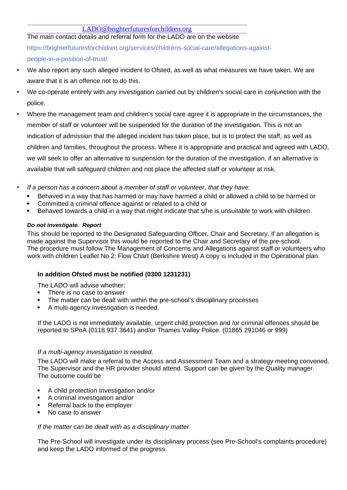### [LADO@brighterfuturesforchildren.org](mailto:LADO@brighterfuturesforchildren.org)

The main contact details and referral form for the LADO are on the website https://brighterfuturesforchildren.org/services/childrens-social-care/allegations-againstpeople-in-a-position-of-trust/

- We also report any such alleged incident to Ofsted, as well as what measures we have taken. We are aware that it is an offence not to do this.
- We co-operate entirely with any investigation carried out by children's social care in conjunction with the police.
- Where the management team and children's social care agree it is appropriate in the circumstances, the member of staff or volunteer will be suspended for the duration of the investigation. This is not an indication of admission that the alleged incident has taken place, but is to protect the staff, as well as children and families, throughout the process. Where it is appropriate and practical and agreed with LADO, we will seek to offer an alternative to suspension for the duration of the investigation, if an alternative is available that will safeguard children and not place the affected staff or volunteer at risk.
- *If a person has a concern about a member of staff or volunteer, that they have:*
	- Behaved in a way that has harmed or may have harmed a child or allowed a child to be harmed or
	- Committed a criminal offence against or related to a child or
	- Behaved towards a child in a way that might indicate that s/he is unsuitable to work with children.

#### *Do not investigate. Report*

This should be reported to the Designated Safeguarding Officer, Chair and Secretary. If an allegation is made against the Supervisor this would be reported to the Chair and Secretary of the pre-school. The procedure must follow The Management of Concerns and Allegations against staff or volunteers who work with children Leaflet No 2: Flow Chart (Berkshire West) A copy is included in the Operational plan.

### **In addition Ofsted must be notified (0300 1231231)**

The LADO will advise whether:

- There is no case to answer
- The matter can be dealt with within the pre-school's disciplinary processes
- A multi-agency investigation is needed.

If the LADO is not immediately available, urgent child protection and /or criminal offences should be reported to SPoA (0118 937 3641) and/or Thames Valley Police. (01865 291046 or 999)

#### *If a multi-agency investigation is needed.*

The LADO will make a referral to the Access and Assessment Team and a strategy meeting convened. The Supervisor and the HR provider should attend. Support can be given by the Quality manager. The outcome could be

- A child protection Investigation and/or
- A criminal investigation and/or
- Referral back to the employer
- No case to answer

#### *If the matter can be dealt with as a disciplinary matter.*

The Pre-School will investigate under its disciplinary process (see Pre-School's complaints procedure) and keep the LADO informed of the progress.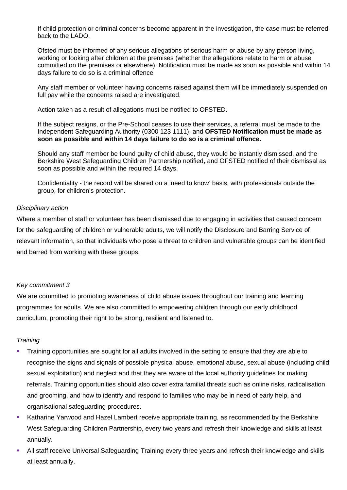If child protection or criminal concerns become apparent in the investigation, the case must be referred back to the LADO.

Ofsted must be informed of any serious allegations of serious harm or abuse by any person living, working or looking after children at the premises (whether the allegations relate to harm or abuse committed on the premises or elsewhere). Notification must be made as soon as possible and within 14 days failure to do so is a criminal offence

Any staff member or volunteer having concerns raised against them will be immediately suspended on full pay while the concerns raised are investigated.

Action taken as a result of allegations must be notified to OFSTED.

If the subject resigns, or the Pre-School ceases to use their services, a referral must be made to the Independent Safeguarding Authority (0300 123 1111), and **OFSTED Notification must be made as soon as possible and within 14 days failure to do so is a criminal offence.**

Should any staff member be found guilty of child abuse, they would be instantly dismissed, and the Berkshire West Safeguarding Children Partnership notified, and OFSTED notified of their dismissal as soon as possible and within the required 14 days.

Confidentiality - the record will be shared on a 'need to know' basis, with professionals outside the group, for children's protection.

#### *Disciplinary action*

Where a member of staff or volunteer has been dismissed due to engaging in activities that caused concern for the safeguarding of children or vulnerable adults, we will notify the Disclosure and Barring Service of relevant information, so that individuals who pose a threat to children and vulnerable groups can be identified and barred from working with these groups.

#### *Key commitment 3*

We are committed to promoting awareness of child abuse issues throughout our training and learning programmes for adults. We are also committed to empowering children through our early childhood curriculum, promoting their right to be strong, resilient and listened to.

### *Training*

- Training opportunities are sought for all adults involved in the setting to ensure that they are able to recognise the signs and signals of possible physical abuse, emotional abuse, sexual abuse (including child sexual exploitation) and neglect and that they are aware of the local authority guidelines for making referrals. Training opportunities should also cover extra familial threats such as online risks, radicalisation and grooming, and how to identify and respond to families who may be in need of early help, and organisational safeguarding procedures.
- Katharine Yarwood and Hazel Lambert receive appropriate training, as recommended by the Berkshire West Safeguarding Children Partnership, every two years and refresh their knowledge and skills at least annually.
- All staff receive Universal Safeguarding Training every three years and refresh their knowledge and skills at least annually.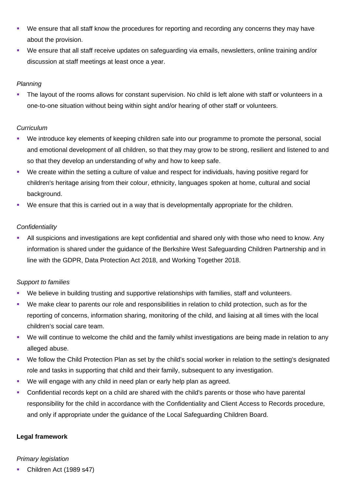- We ensure that all staff know the procedures for reporting and recording any concerns they may have about the provision.
- We ensure that all staff receive updates on safeguarding via emails, newsletters, online training and/or discussion at staff meetings at least once a year.

### *Planning*

 The layout of the rooms allows for constant supervision. No child is left alone with staff or volunteers in a one-to-one situation without being within sight and/or hearing of other staff or volunteers.

### *Curriculum*

- We introduce key elements of keeping children safe into our programme to promote the personal, social and emotional development of all children, so that they may grow to be strong, resilient and listened to and so that they develop an understanding of why and how to keep safe.
- We create within the setting a culture of value and respect for individuals, having positive regard for children's heritage arising from their colour, ethnicity, languages spoken at home, cultural and social background.
- We ensure that this is carried out in a way that is developmentally appropriate for the children.

### *Confidentiality*

 All suspicions and investigations are kept confidential and shared only with those who need to know. Any information is shared under the guidance of the Berkshire West Safeguarding Children Partnership and in line with the GDPR, Data Protection Act 2018, and Working Together 2018.

### *Support to families*

- We believe in building trusting and supportive relationships with families, staff and volunteers.
- We make clear to parents our role and responsibilities in relation to child protection, such as for the reporting of concerns, information sharing, monitoring of the child, and liaising at all times with the local children's social care team.
- We will continue to welcome the child and the family whilst investigations are being made in relation to any alleged abuse.
- We follow the Child Protection Plan as set by the child's social worker in relation to the setting's designated role and tasks in supporting that child and their family, subsequent to any investigation.
- We will engage with any child in need plan or early help plan as agreed.
- Confidential records kept on a child are shared with the child's parents or those who have parental responsibility for the child in accordance with the Confidentiality and Client Access to Records procedure, and only if appropriate under the guidance of the Local Safeguarding Children Board.

### **Legal framework**

### *Primary legislation*

Children Act (1989 s47)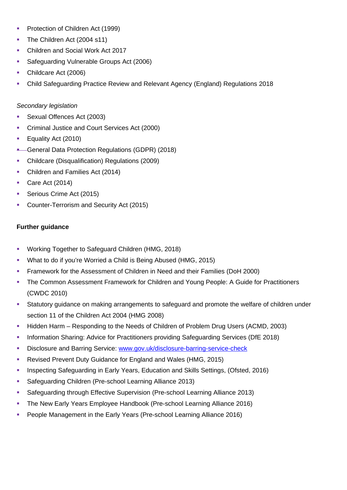- **Protection of Children Act (1999)**
- The Children Act (2004 s11)
- **Children and Social Work Act 2017**
- **Safeguarding Vulnerable Groups Act (2006)**
- Childcare Act (2006)
- Child Safeguarding Practice Review and Relevant Agency (England) Regulations 2018

### *Secondary legislation*

- Sexual Offences Act (2003)
- **Criminal Justice and Court Services Act (2000)**
- **Equality Act (2010)**
- General Data Protection Regulations (GDPR) (2018)
- Childcare (Disqualification) Regulations (2009)
- Children and Families Act (2014)
- Care Act (2014)
- Serious Crime Act (2015)
- **Counter-Terrorism and Security Act (2015)**

### **Further guidance**

- **Working Together to Safeguard Children (HMG, 2018)**
- What to do if you're Worried a Child is Being Abused (HMG, 2015)
- Framework for the Assessment of Children in Need and their Families (DoH 2000)
- The Common Assessment Framework for Children and Young People: A Guide for Practitioners (CWDC 2010)
- Statutory guidance on making arrangements to safeguard and promote the welfare of children under section 11 of the Children Act 2004 (HMG 2008)
- Hidden Harm Responding to the Needs of Children of Problem Drug Users (ACMD, 2003)
- **Information Sharing: Advice for Practitioners providing Safeguarding Services (DfE 2018)**
- Disclosure and Barring Service: [www.gov.uk/disclosure-barring-service-check](http://www.gov.uk/disclosure-barring-service-check)
- Revised Prevent Duty Guidance for England and Wales (HMG, 2015)
- **Inspecting Safeguarding in Early Years, Education and Skills Settings, (Ofsted, 2016)**
- **Safeguarding Children (Pre-school Learning Alliance 2013)**
- Safeguarding through Effective Supervision (Pre-school Learning Alliance 2013)
- The New Early Years Employee Handbook (Pre-school Learning Alliance 2016)
- **People Management in the Early Years (Pre-school Learning Alliance 2016)**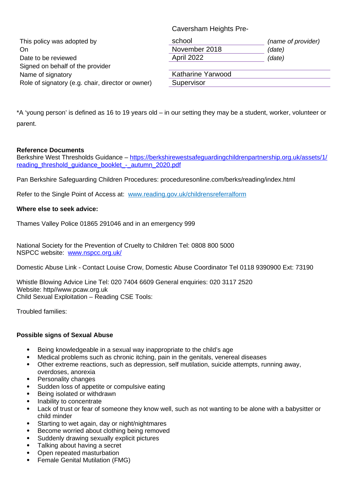| This policy was adopted by<br>On.<br>Date to be reviewed<br>Signed on behalf of the provider | school<br>November 2018<br>April 2022 | (name of provider)<br>(date)<br>(date) |
|----------------------------------------------------------------------------------------------|---------------------------------------|----------------------------------------|
| Name of signatory                                                                            | Katharine Yarwood                     |                                        |
| Role of signatory (e.g. chair, director or owner)                                            | Supervisor                            |                                        |

Caversham Heights Pre-

\*A 'young person' is defined as 16 to 19 years old – in our setting they may be a student, worker, volunteer or parent.

#### **Reference Documents**

Berkshire West Thresholds Guidance – [https://berkshirewestsafeguardingchildrenpartnership.org.uk/assets/1/](https://berkshirewestsafeguardingchildrenpartnership.org.uk/assets/1/reading_threshold_guidance_booklet_-_autumn_2020.pdf) [reading\\_threshold\\_guidance\\_booklet\\_-\\_autumn\\_2020.pdf](https://berkshirewestsafeguardingchildrenpartnership.org.uk/assets/1/reading_threshold_guidance_booklet_-_autumn_2020.pdf)

Pan Berkshire Safeguarding Children Procedures: proceduresonline.com/berks/reading/index.html

Refer to the Single Point of Access at: www.reading.gov.uk/childrensreferralform

#### **Where else to seek advice:**

Thames Valley Police 01865 291046 and in an emergency 999

National Society for the Prevention of Cruelty to Children Tel: 0808 800 5000 NSPCC website: [www.nspcc.org.uk/](http://www.nspcc.org.uk/)

Domestic Abuse Link - Contact Louise Crow, Domestic Abuse Coordinator Tel 0118 9390900 Ext: 73190

Whistle Blowing Advice Line Tel: 020 7404 6609 General enquiries: 020 3117 2520 Website: http//www.pcaw.org.uk Child Sexual Exploitation – Reading CSE Tools:

Troubled families:

#### **Possible signs of Sexual Abuse**

- Being knowledgeable in a sexual way inappropriate to the child's age
- Medical problems such as chronic itching, pain in the genitals, venereal diseases
- Other extreme reactions, such as depression, self mutilation, suicide attempts, running away, overdoses, anorexia
- Personality changes
- Sudden loss of appetite or compulsive eating
- Being isolated or withdrawn
- Inability to concentrate
- Lack of trust or fear of someone they know well, such as not wanting to be alone with a babysitter or child minder
- Starting to wet again, day or night/nightmares
- Become worried about clothing being removed
- Suddenly drawing sexually explicit pictures
- Talking about having a secret
- Open repeated masturbation
- Female Genital Mutilation (FMG)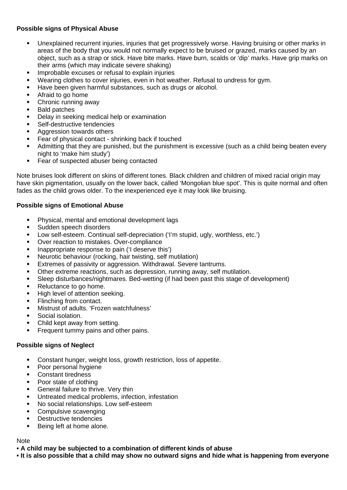### **Possible signs of Physical Abuse**

- Unexplained recurrent injuries, injuries that get progressively worse. Having bruising or other marks in areas of the body that you would not normally expect to be bruised or grazed, marks caused by an object, such as a strap or stick. Have bite marks. Have burn, scalds or 'dip' marks. Have grip marks on their arms (which may indicate severe shaking)
- Improbable excuses or refusal to explain injuries
- Wearing clothes to cover injuries, even in hot weather. Refusal to undress for gym.
- Have been given harmful substances, such as drugs or alcohol.
- Afraid to go home
- Chronic running away
- Bald patches
- Delay in seeking medical help or examination
- Self-destructive tendencies
- Aggression towards others
- Fear of physical contact shrinking back if touched
- Admitting that they are punished, but the punishment is excessive (such as a child being beaten every night to 'make him study')
- Fear of suspected abuser being contacted

Note bruises look different on skins of different tones. Black children and children of mixed racial origin may have skin pigmentation, usually on the lower back, called 'Mongolian blue spot'. This is quite normal and often fades as the child grows older. To the inexperienced eye it may look like bruising.

#### **Possible signs of Emotional Abuse**

- Physical, mental and emotional development lags
- Sudden speech disorders
- Low self-esteem. Continual self-depreciation ('I'm stupid, ugly, worthless, etc.')
- Over reaction to mistakes. Over-compliance
- Inappropriate response to pain ('I deserve this')
- Neurotic behaviour (rocking, hair twisting, self mutilation)
- Extremes of passivity or aggression. Withdrawal. Severe tantrums.
- Other extreme reactions, such as depression, running away, self mutilation.
- Sleep disturbances/nightmares. Bed-wetting (if had been past this stage of development)
- Reluctance to go home.
- High level of attention seeking.
- Flinching from contact.
- Mistrust of adults. 'Frozen watchfulness'
- Social isolation.
- Child kept away from setting.
- Frequent tummy pains and other pains.

#### **Possible signs of Neglect**

- Constant hunger, weight loss, growth restriction, loss of appetite.
- Poor personal hygiene
- Constant tiredness
- Poor state of clothing
- General failure to thrive. Very thin
- Untreated medical problems, infection, infestation
- No social relationships. Low self-esteem
- Compulsive scavenging
- Destructive tendencies
- Being left at home alone.

#### Note

- **A child may be subjected to a combination of different kinds of abuse**
- **It is also possible that a child may show no outward signs and hide what is happening from everyone**